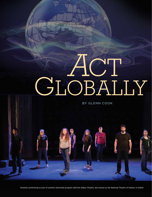# *A*CT GLOBALIY

BY GLENN COOK

Students performing as part of summer internship program with the Abbey Theatre, also known as the National Theatre of Ireland, in Dublin.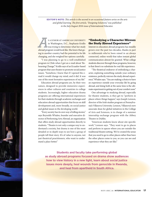**EDITOR'S NOTE:** *This article is the second in an occasional feature series on the arts and global learning. The first article, "Designing Solutions," was published in the July/August 2016 issue of* International Educator*.* 

**S A JUNIOR AT AME<mark>RICAN UNIVERSITY</mark>** in Washington, D.C., Stephanie Kridlo was trying to dete<mark>rmine what her study</mark> abroad program would look like. She knew that going to another country had the potential to be life changing, and she weighed her options carefully.

"I was planning to go to a well-established program in Chile when I got an e-mail about 'Rehearsing Change,'" Kridlo says of an Ecuador-based program that uses theatre to promote social justice issues. "Somehow, I knew that if I opened the email it would change my mind, and it did. It was one of the most formative experiences of my life."

Education abroad programs are, by their very nature, designed to provide immersive experiences in other cultures and countries to college students. Increasingly, higher education drama programs are offering international experiences for their students through academic exchanges and education abroad opportunities that focus on skill development and, more broadly, on social justice and global issues in the developing world.

"Every society has its own way of telling stories," says Reynolds Whalen, founder and executive director of Performing Arts Abroad, an organization that offers study abroad opportunities directly to students. "Theatre is not only a unique way to understand a society, but drama is one of the most detailed or in-depth ways to see how a group of people tell their story. It's of value to anyone, not just theatrical practitioners, who want to understand a place better."

#### **"Embodying a Character Mirrors the Study Abroad Experience"**

Interest in education abroad programs has steadily grown over the past two decades, thanks in part to millennials who've been raised in an always connected, online world that takes instant global communication almost for granted. What college students discover through these programs, however, is that there's no substitute for real-life experience.

"The theatrical endeavor of embodying a character, exploring something outside your ordinary existence, perfectly mirrors the study abroad experience," Whalen says. "You are making a choice to have an experience outside your everyday life by going abroad, and doing both at the same time is the ultimate experiment in getting out of your comfort zone."

One advantage to studying abroad, especially for theatre students, is they get to "perform in places where things happen," says Joseph Lennon, director of the Irish studies program at Pennsylvania's Villanova University. Lennon, Villanova's new associate dean for global initiatives in the College of Arts and Sciences, is in charge of a summer internship exchange program with the Abbey Theatre in Dublin.

"American students know about site specific work," Lennon says. "They want to go to places and perform in spaces where you are outside the traditional theatre setting. We've created the sense that you need to go to other places rather than have the other places come to you, so you can see and experience what they are like."

**Students and faculty take performing global as study abroad programs focused on drama show audiences how to view history in a new light, learn about social justice issues more deeply, heal wounds from genocide in Rwanda, and heal from apartheid in South Africa.**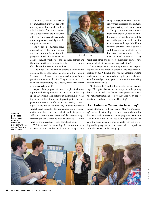Lennon says Villanova's exchange program started five years ago with one-day workshops at the Abbey, which is Ireland's national theater. It has since expanded to include the internships, which run for six weeks for undergraduates and eight weeks for graduate students.

The Abbey's productions focus on social and contemporary issues, another common theme found in programs outside the United States.



Joseph Lennon

Many of the Abbey's shows focus on gender, politics, and the often-fractious relationship between the Ireland's Catholic and Protestant communities.

"The purpose of the national theatre is to reflect the nation and to give the nation something to think about," Lennon says. "Theatre is used as a teaching tool for expression and self-actualization. They ask what can art do to reflect contemporary social issues, rather than merely provide entertainment."

As part of the program, students complete their reading online before going abroad. Once in Dublin, they spend three weeks taking classes in the mornings, working on one of three tracks (writing, acting/directing, and general theatre) in the afternoons, and seeing shows at night. At the end of the intensive, students perform in workshops at the Abbey for women recovering from addiction and abuse, then the graduate students spend an additional two to three weeks in Galway completing a research project at Ireland's national archives. All of the work for the internships is then completed online.

Students participate in a summer internship exchange program with the Abbey Theatre in Dublin, Ireland.

"We front load the internships for a month because we want them to spend as much time practicing theatre,

going to plays, and meeting producers, writers, directors, and costume designers as they can," Lennon says.

This past summer, six students from University College in Dublin were given scholarships to take part in the program, furthering the international exchange. "We felt the dynamic between the Irish students and the American students was so important that we wanted to fund them to come," Lennon says. "They

teach each other, and people from different cultures have an opportunity to learn a lot from each other."

Lennon says interest in the program continues to grow, especially among graduate students who receive scholarships from a Villanova endowment. Students want to make contacts internationally and gain "practical crossover knowledge as they go from academics to working theater professionals."

"In the arts, that's the big draw of the program," Lennon says. "They get to listen to me on campus at the beginning, but the real appeal is for them to meet people working in the national theatre and see how they do it. It's an opportunity for hands-on experiential learning."

#### **An "Authentic Context for Learning"**

David Montgomery, the adviser for New York University's dual certification degree in theater and social studies, has taken students on study abroad programs to London, Dublin, Brazil, and Puerto Rico over the past decade. He says the students sometimes struggle with the traveling and language barriers, but most call the experience "transformative and life changing."

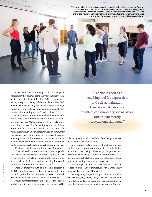Villanova University students rehearse in Ireland's national theater, Abbey Theatre, in Dublin. Many of its shows focus on gender, politics, and the often-fractious relationship between the Ireland's Catholic and Protestant communities. At the end of the intensive summer internship program, students perform in workshops at the Abbey for women recovering from addiction and abuse.

"Being an outsider in another place and learning with people from that country, doing the work and really learning instead of just being told what it's like, is invaluable," Montgomery says. "If they did the work here in New York it would still be amazing, but the extra layer of doing it with experts and leaders in other communities and other countries is something you can't underestimate."

Montgomery, who rotates trips abroad with five other full-time faculty members, says the diversity of the locations provides NYU's students with a variety of opportunities to learn. The England program, usually held in London, focuses on theatre and classroom drama for young audiences. In Dublin, students work on community engagement projects, working with masks and learning how to perform in the streets or at a particular site. In Puerto Rico, students work with inmates at a maximum security prison and participate in a mask parade in San Juan.

"What we do all depends on the locale," Montgomery says. "Puerto Rico has a more overt social justice agenda, and so much of what happens there is in response to what is happening on the island. In Dublin, the same is true, because a lot of the focus is working on using drama with various communities outside the classroom."

"These are things you can't do in a regular program in the U.S.," Montgomery says. "By participating in this way, you really get involved and immersed in the culture, which provides you with an authentic context for learning."

Whalen says this immersion is central to the idea behind all education abroad programs—that students will be

"Theatre is used as a teaching tool for expression and self-actualization. They ask what can art do to reflect contemporary social issues, rather than merely provide entertainment."

affected greatly by what they learn from being immersed in the culture of another country.

"Every study abroad program worth anything, and most are, have a philosophy that transformation of the individual is central to their being," Whalen says. "In performance programs, you're trying to transform the art form by learning new, specific tools that you can use on the stage. It's not just about learning how to act or dance better.

Whalen says students who participate in a theatrerelated study abroad program return with a "wonderfully broadened perspective of humanity."

"By integrating the performing arts into your studies when you're going abroad, you get to make connections in ways that are far different than if you were just studying general education or exploring the cities on your own," he says.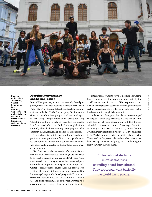

Students participating "Rehearsing Change: Empowering Locally, Educating Globally," a joint project between Ecuador's Universidad San Francisco de Quito and Butler University.

#### **Merging Performance and Social Justice**

Brontë Velez spent her junior year in two study abroad programs, first in the Czech Republic, where she learned how Vaclav Havel's writings and plays helped destroy Communist rule in the late 1980s. For the spring 2015 semester, she was part of the first group of students to take part in "Rehearsing Change: Empowering Locally, Educating Globally," a joint project between Ecuador's Universidad San Francisco de Quito and Butler University's Institute for Study Abroad. The community-based program offers classes in theatre, storytelling, and fair trade education.

Velez, whose diverse interests include multimedia and performance art, global and African history, gender studies, environmental justice, and sustainable development, was particularly interested in the fair trade component of the program.

"I'm fascinated by the intersection of art and social justice, and studying abroad was something I knew I needed to do to get as broad a picture as possible," she says. "In so many ways in this country, we come in as a colonial presence and try to impose things on people and groups, and I wanted to see how theatre could be used in a different way."

Daniel Bryan, a U.S.-trained actor who cofounded the Rehearsing Change study abroad program in Ecuador and serves as its resident director, says the purpose is to unite U.S. and international students so they can work together on common issues, many of them involving social justice.

"International students serve as not just a sounding board from abroad. They represent what basically the world has become," Bryan says. "They represent a connection to this globalized society, and through this visceral real-life process, you can feel that connection between the local community and global community."

Students can often gain a broader understanding of social justice when they see issues that are similar to the ones they face at home played out in a different place, with different laws and context, Bryan says. One cited frequently is Theatre of the Oppressed, a form that the Brazilian theatre practitioner Augusto Boal first developed in the 1960s to promote social and political change. In the Theatre of the Oppressed, the audience becomes active by exploring, showing, analyzing, and transforming the reality in which they are living.

> "International students serve as not just a sounding board from abroad. They represent what basically the world has become."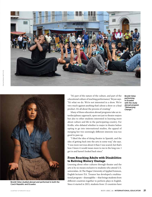



Brontë Velez studied abroad and performed in both the Czech Republic and Ecuador.

"It's part of the nature of the culture, and part of the educational culture of teaching performance," Bryan says. "It's what we do. We're not interested in a show. We're very much against anything that's about a show or a final product. It's all about the process of creating."

Many of these education abroad programs take an interdisciplinary approach, open not just to theatre majors but also to other students interested in learning more about culture and life in the participating country. For Kridlo, who debated whether to major in theatre before opting to go into international studies, the appeal of merging her two seemingly different interests was too good to pass up.

"I liked the idea of doing theatre in Spanish, and the idea of getting back into the arts in some way," she says. "I was more nervous about it than I was scared, but that's how I knew it would mean more to me in the long run. I got in and haven't looked back since."

# **From Reaching Adults with Disabilities to Reliving History Onstage**

Learning about other cultures through theater and the arts is by no means exclusive to students who attend U.S. universities. At The Hague University of Applied Sciences, English lecturer P.A. Treanor has developed a multinational program—drama@hhs —that brings students from different countries together to perform plays in English. Since it started in 2015, students from 13 countries have

Brontë Velez performing in Ecuador with the study abroad program "Rehearsing Change."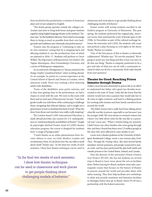been involved in five productions, a mixture of American plays and revues adapted to English.

"The drama group operates outside the college's curriculum and aims to bring both home and guest students together using English language theatre as the medium," Treanor says. "As the facilitator/director, I have tried to encourage them to bring as much as possible from their own backgrounds and traditions into rehearsals and performances."

Treanor says the program is "continuing to take on its own existence," noting that he is stepping back and allowing students to run the productions, four of which are planned in 2016–17. Students will perform in Oscar Wilde's *The Importance of Being Earnest*, Eve Ensler's *The Vagina Monologues,* Alice Gerstenberg's *Overtones,* and a series of Shakespeare adaptations.

As an instructor, Montgomery is "always amazed at the things I hadn't considered before" when working abroad. As an example, he points to a recent experience at the Central School of Speech and Drama in London, where instructor Liselle Terret was creating a show featuring adults with disabilities.

"Some of the disabilities were pretty extreme, and as they were getting close to the performance, we had a chance to work with the cast. We were in the room with them and we were part of that process," he says. "I saw how gentle Liselle was with them while continuing to challenge them, navigating that delicate balance, and it taught me a great lesson in how to facilitate this kind of work. What she drew from those cast members was really, really inspiring."

The London-based CAPA International Education, a study abroad provider, has courses for U.S. undergraduates on "understanding the possibilities of theatre." Taught by playwright Michael Punter, head of CAPA's theatre education program, the course is designed for students from "a range of backgrounds."

"I teach theatre as an urban phenomenon from Ancient Athens to now, via Early Modern London and revolutionary Paris. It's all about how the city talks to itself about itself," Punter says. "In the final two weeks of each semester, I show how theatre techniques can be used in

"In the final two weeks of each semester, I show how theatre techniques can be used in classrooms and work places to get people thinking about challenging models of behavior."

classrooms and work places to get people thinking about challenging models of behavior."

Punter works with acting students enrolled in the Guthrie program at University of Minnesota. This past spring, the students performed his original play, *American Soviet,* that examined the work of female spies in the 1930s. In November, as part of the cultural exchange between the university and CAPA, the students will create and perform a play focusing on civil rights at the Street Studio Theatre in London.

"One of the best pieces of this is theatre is inherently collaborative," Whalen says. "It's not the standard, 'We're going to teach you one thing and this is how you have to do that one thing.' Theatre is uniquely positioned to be a give and take of what you can do with a community instead of what you do for a community. Both sides benefit from your presence."

# **Theater for Good: Reaching Prison Inmates through Drama**

Ashley Lucas became interested in prison life in an effort to understand her father, who spent two decades incarcerated in the state of Texas. Little did she know that the interest would turn into a passion that would take her to 36 cities in eight countries, and lead to a lifelong passion for working with inmates and their family members from around the world.

"My father always had a really hard time talking about what life was like in prison, especially to me because I was his younger child. We were always in constant contact, but I knew very little about what his life was like in a practical way," Lucas says. "When I started doing my research, I didn't know any other families who were going through this, and then I found that there were 2.3 million people at the time who were affected in ways similar to me."

Lucas, now a theatre professor at the University of Michigan's Residential College, wrote a one-woman play, *Doin' Time: Through the Visiting Glass*. She interviewed family members, former prisoners, and people connected to prison work, and has since performed the play both inside and outside prisons in the United States, Ireland, and Canada.

Now the director of the university's Prison Creative Arts Project (PCAP), she has led students on several trips to Brazil to learn more about the arts in facilities there. Before leaving for Brazil, students must take a prerequisite course that focuses on the history of theatre in prisons around the world and provides them with safety training. They then help facilitate arts workshops in adult and juvenile treatment and detention facilities in Michigan before they go to Brazil, where PCAP has a partnership with the federal university.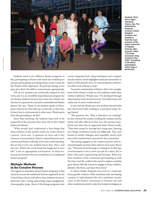

Students (from left to right) Indonesia, France, Iran, The Netherlands, Moldovia, Curacao, United Kingdom, Armenia, and Sweden in front the main entrance of the Hague University of Applied Sciences after an event called "The Great Eurovision Song Contest in May 2016." Everybody in the photo participated either sang or performed.

Students work in five different theatre programs in Rio, participating in theatre and visual arts workshops in prisons and hospitals and taking classes at the Center for the Theatre of the Oppressed. The pretrip training, Lucas says, gives them the skills to communicate appropriately.

"All of our students are profoundly shaped by this work, and it is an incredible preprofessional program for our theatre students because they learn how theatre can function in a grassroots way and in nontraditional theatre spaces," she says. "Many of our students speak no Portuguese whatsoever when they go on this trip, so they have to learn how to communicate in other ways. Theatre gives them the grounding to do that."

More than anything, the students learn how to be respectful of the prisoners they deal with in the United States and abroad.

"What people don't understand is that things that seem ordinary in the outside world can create chaos in a prison," Lucas says. "A question we never ask is why someone is incarcerated, which is natural because we're curious and think it will help us be more understanding. But we have to let our students know that, 'Hey, I just met you. What's the worst thing that happened in your life?' is not an appropriate conversation. So these lessons go far beyond what you would learn in a traditional theatre program."

# **Multiple Methods in the Creative Process**

One appeal to education abroad theatre programs is that many do not use the traditional Western approach. In the United States, Bryan and others note, students are put in particular roles—acting, playwriting, stage management, choreography, props. Most of the foreign programs take a more integrated tack, using techniques such as Japan's Suzuki method, which highlights miniscule movements or dance to tell a specific story. In many programs, performers often work without a script.

"In poorer communities in Eastern Africa, for example, most of the theatre is built on oral traditions rather than written traditions," Whalen says. "It's developed through improvisation and movement work. You build scenes and a play, but it's never written down."

In one exercise, Bryan says, two students showed what they discovered while working in a preschool using "image theatre."

"The question was, 'Why is education not working?' So they showed the teacher scolding the student and the before and after effects of that, how this person transferred over time into an oppressed adult," Bryan recalls. "Then they started to resculpt this young man, showing how things could have turned out differently. They used theatre to further dialogue and, hopefully, slowly form part of the transformative process for this community.

"Becoming engaged in the creative process with local participants increases their interest even more," Bryan says. "The point of performing or creating art in that type of environment is not to show up and 'do a show,' but to show what you're experiencing and learning. When you have members of the community participating as well, they have real-life conflicts they need to explore, and that gives theater kids the avenue to engage in those conflicts, identify with them, and learn from them."

In Quito, Kridlo designed and acted in a small play about gender violence while simultaneously developing a project to help eliminate the city's machismo society. Later, in the Kichwa community of Tzawata, she and other students presented a play that looked at indigenous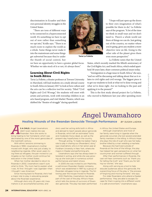discrimination in Ecuador and their own personal identity struggles in the United States.

"There are tons of different ways to be connected in a hyperconnected world. It's something we have to opt out of now rather than something we opt into," Kridlo says. "There is so much room to explore the world as a whole. Some things never make it into the mainstream and some things get subverted because they're under the thumb of social control, but



Tavia La Follette

we have an opportunity to have a greater global focus. Whether we take stock of it or not, it's always there."

#### **Learning About Civil Rights in South Africa**

Tavia La Follette, a theater professor at Towson University in Maryland, will lead students on a study abroad course to South Africa in January 2017 to look at how culture and the arts can be a reflective tool for society. Titled "Civil Rights and Civil Wrongs," the students will meet with artists and activists, work with township children in an arts-based program, and visit Market Theatre, which was dubbed the "theatre of struggle" during apartheid.

"I hope will just open up the doors to their own imagination of what's possible for them to do," La Follette says of the program. "A lot of the time we think in small ways and we don't need to. There's a whole world out there of things we can do. Just getting out of the country, no matter where you're going, gives any student a more objective view on life. Going to the other side of the planet gives them even more perspective."

La Follette notes that the United

States, which recently marked the fiftieth anniversary of the Civil Rights Act, and South Africa, which ended apartheid 30 years later, share common political issues today.

"Immigration is a huge issue in South Africa," she says, "and we will be discussing and talking about that as it relates to civil rights and civil wrongs. The biggest piece is to get our students to look at what we've done wrong and what we've done right. Are we looking to the past and applying it to the present?"

This is the first study abroad project for La Follette, who moved to Baltimore last year after spending more

# *A*ngel Uwamahoro

**Healing Wounds of the Rwandan Genocide Through Performance** *BY SUSAN LADIKA* 

**S A CHILD, Angel Uwamahoro** didn't even realize she was Rwandan. Now she works to bring healing to her homeland, which was decimated by one of the worst genocides of the twentieth century.

With ethnic tensions simmering in Rwanda in 1990, Uwamahoro's mother moved with Angel, who was just a baby, to neighboring Uganda. After seven years living there as refugees, the pair moved to Los Angeles so her mother could continue her education in the United States.

When her mother decided to return to Rwanda in 2002, Uwamahoro wasn't sure what to think. "My mom had to explain what I was. At first I thought I was Ugandan—then I thought I was American."

Since moving back to Rwanda, she's had a major role to play in educating people about the Rwandan experience.

Although she's only 25 years old, Uwamahoro is an accomplished actress, and

she's used her acting skills both in Africa and abroad to teach people about genocide in Rwanda, which left an estimated Tutsis and moderate Hutus dead, as well as the present-day hopefulness in the country.

Through acting, "it made me realize I had a role to play in sharing our (Rwandans') story," says Uwamahoro, who is in her senior year at Fordham University in New York, where she majors in theater and performing arts.

Uwamahoro says she has always been interested in acting, and while she was growing up she took part in numerous school performances and talent shows.

In 2005 she was invited to join Mashirika, a well-known Rwandan theater company, which was established in 1997 by a group of Rwandan refugees living in Uganda. The following year the troupe moved to Rwanda.

With Mashirika, Uwamahoro has been part of the cast of the play *Africa's Hope*, which tells the stories of survivors of Rwanda's genocide. The play has been performed in Africa, the United States and Europe.

Although Uwamahoro and most of her family were living in Uganda when the genocide occurred, she lost several extended family members in the killing. In Africa's Hope she plays the role of a girl who saw her baby brother killed by a man wielding a machete.

Because she had lived outside of Rwanda at the time of the killings, the play has helped her gain perspective on what her countrymen and women suffered through.

After their performances in Rwanda, the cast will hear comments such as "thank you for telling the truth" and "thank you for telling our stories," she says.

Along with serving as a tool to help educate audiences about the genocide, the overarching focus of the play is "the process of forgiving and moving forward," she says.

For older Rwandans who attend a theater performance, "they are able to escape. Escape for them is going into a different world in a safe environment," Uwamahoro says.